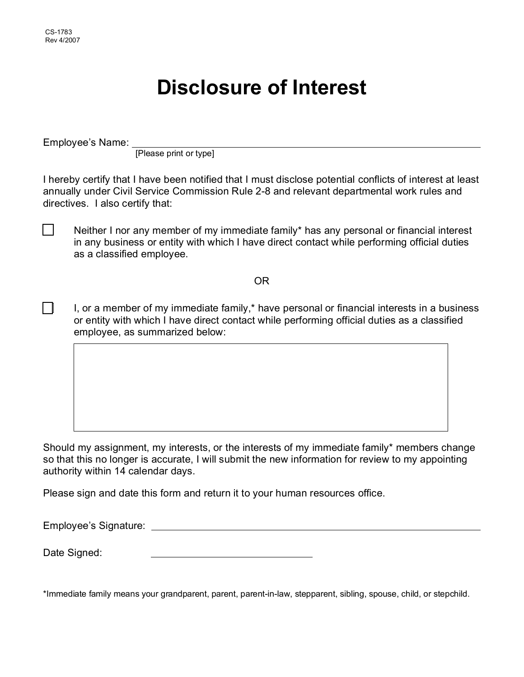$\Box$ 

 $\blacksquare$ 

# **Disclosure of Interest**

Employee's Name:

[Please print or type]  $\overline{a}$ 

I hereby certify that I have been notified that I must disclose potential conflicts of interest at least annually under Civil Service Commission Rule 2-8 and relevant departmental work rules and directives. I also certify that:

Neither I nor any member of my immediate family\* has any personal or financial interest in any business or entity with which I have direct contact while performing official duties as a classified employee.

OR

I, or a member of my immediate family,\* have personal or financial interests in a business or entity with which I have direct contact while performing official duties as a classified employee, as summarized below:

Should my assignment, my interests, or the interests of my immediate family\* members change so that this no longer is accurate, I will submit the new information for review to my appointing authority within 14 calendar days.

Please sign and date this form and return it to your human resources office.

Employee's Signature:

Date Signed:

\*Immediate family means your grandparent, parent, parent-in-law, stepparent, sibling, spouse, child, or stepchild.